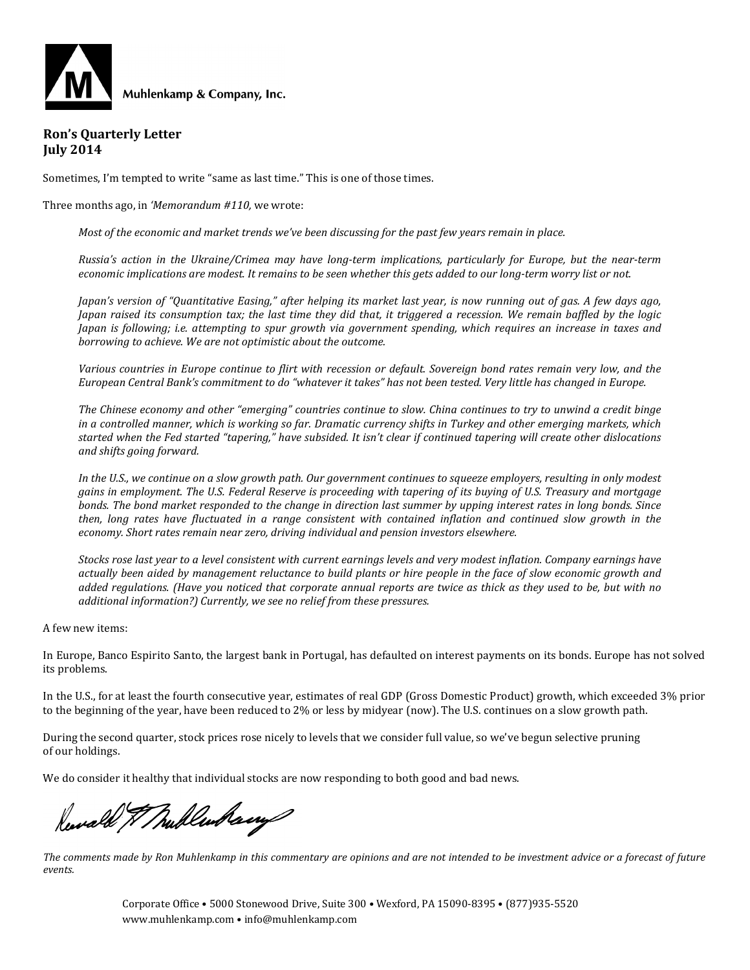

#### **Ron's Quarterly Letter July 2014**

Sometimes, I'm tempted to write "same as last time." This is one of those times.

Three months ago, in *'Memorandum #110,* we wrote:

*Most of the economic and market trends we've been discussing for the past few years remain in place.* 

*Russia's action in the Ukraine/Crimea may have long-term implications, particularly for Europe, but the near-term economic implications are modest. It remains to be seen whether this gets added to our long-term worry list or not.*

*Japan's version of "Quantitative Easing," after helping its market last year, is now running out of gas. A few days ago, Japan raised its consumption tax; the last time they did that, it triggered a recession. We remain baffled by the logic Japan is following; i.e. attempting to spur growth via government spending, which requires an increase in taxes and borrowing to achieve. We are not optimistic about the outcome.*

*Various countries in Europe continue to flirt with recession or default. Sovereign bond rates remain very low, and the European Central Bank's commitment to do "whatever it takes" has not been tested. Very little has changed in Europe.*

*The Chinese economy and other "emerging" countries continue to slow. China continues to try to unwind a credit binge in a controlled manner, which is working so far. Dramatic currency shifts in Turkey and other emerging markets, which started when the Fed started "tapering," have subsided. It isn't clear if continued tapering will create other dislocations and shifts going forward.*

*In the U.S., we continue on a slow growth path. Our government continues to squeeze employers, resulting in only modest gains in employment. The U.S. Federal Reserve is proceeding with tapering of its buying of U.S. Treasury and mortgage bonds. The bond market responded to the change in direction last summer by upping interest rates in long bonds. Since then, long rates have fluctuated in a range consistent with contained inflation and continued slow growth in the economy. Short rates remain near zero, driving individual and pension investors elsewhere.*

*Stocks rose last year to a level consistent with current earnings levels and very modest inflation. Company earnings have actually been aided by management reluctance to build plants or hire people in the face of slow economic growth and added regulations. (Have you noticed that corporate annual reports are twice as thick as they used to be, but with no additional information?) Currently, we see no relief from these pressures.* 

A few new items:

In Europe, Banco Espirito Santo, the largest bank in Portugal, has defaulted on interest payments on its bonds. Europe has not solved its problems.

In the U.S., for at least the fourth consecutive year, estimates of real GDP (Gross Domestic Product) growth, which exceeded 3% prior to the beginning of the year, have been reduced to 2% or less by midyear (now). The U.S. continues on a slow growth path.

During the second quarter, stock prices rose nicely to levels that we consider full value, so we've begun selective pruning of our holdings.

We do consider it healthy that individual stocks are now responding to both good and bad news.

Reward & Mullenham

*The comments made by Ron Muhlenkamp in this commentary are opinions and are not intended to be investment advice or a forecast of future events.*

> Corporate Office • 5000 Stonewood Drive, Suite 300 • Wexford, PA 15090-8395 • (877)935-5520 www.muhlenkamp.com • info@muhlenkamp.com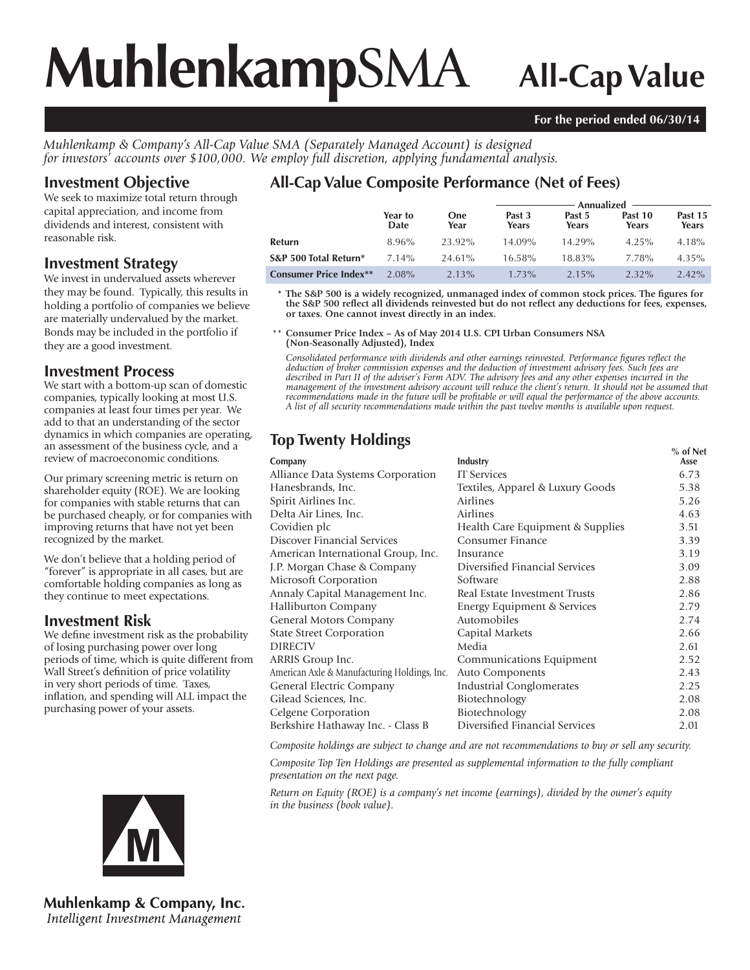# **Muhlenkamp**SMA **All-Cap Value**

#### **For the period ended 06/30/14**

*Muhlenkamp & Company's All-Cap Value SMA (Separately Managed Account) is designed for investors' accounts over \$100,000. We employ full discretion, applying fundamental analysis.*

## **Investment Objective**

We seek to maximize total return through capital appreciation, and income from dividends and interest, consistent with reasonable risk.

### **Investment Strategy**

We invest in undervalued assets wherever they may be found. Typically, this results in holding a portfolio of companies we believe are materially undervalued by the market. Bonds may be included in the portfolio if they are a good investment.

### **Investment Process**

We start with a bottom-up scan of domestic companies, typically looking at most U.S. companies at least four times per year. We add to that an understanding of the sector dynamics in which companies are operating, an assessment of the business cycle, and a review of macroeconomic conditions.

Our primary screening metric is return on shareholder equity (ROE). We are looking for companies with stable returns that can be purchased cheaply, or for companies with improving returns that have not yet been recognized by the market.

We don't believe that a holding period of "forever" is appropriate in all cases, but are comfortable holding companies as long as they continue to meet expectations.

## **Investment Risk**

We define investment risk as the probability of losing purchasing power over long periods of time, which is quite different from Wall Street's definition of price volatility in very short periods of time. Taxes, inflation, and spending will ALL impact the purchasing power of your assets.

**Muhlenkamp & Company, Inc.** Intelligent Investment Management

# **All-Cap Value Composite Performance (Net of Fees)**

|                               |                 |             | Annualized $-$  |                 |                  |                  |  |
|-------------------------------|-----------------|-------------|-----------------|-----------------|------------------|------------------|--|
|                               | Year to<br>Date | One<br>Year | Past 3<br>Years | Past 5<br>Years | Past 10<br>Years | Past 15<br>Years |  |
| Refurn                        | 8.96%           | 23.92%      | $14.09\%$       | 14.29%          | $4.25\%$         | $4.18\%$         |  |
| S&P 500 Total Return*         | $7.14\%$        | 24.61%      | $16.58\%$       | 18.83%          | 7.78%            | 4.35%            |  |
| <b>Consumer Price Index**</b> | $2.08\%$        | $2.13\%$    | $1.73\%$        | $2.15\%$        | $2.32\%$         | $2.42\%$         |  |

 **\* The S&P 500 is a widely recognized, unmanaged index of common stock prices. The figures for the S&P 500 reflect all dividends reinvested but do not reflect any deductions for fees, expenses, or taxes. One cannot invest directly in an index.**

 \*\* **Consumer Price Index – As of May 2014 U.S. CPI Urban Consumers NSA (Non-Seasonally Adjusted), Index**

*Consolidated performance with dividends and other earnings reinvested. Performance figures reflect the deduction of broker commission expenses and the deduction of investment advisory fees. Such fees are described in Part II of the adviser's Form ADV. The advisory fees and any other expenses incurred in the management of the investment advisory account will reduce the client's return. It should not be assumed that recommendations made in the future will be profitable or will equal the performance of the above accounts. A list of all security recommendations made within the past twelve months is available upon request.*

# **Top Twenty Holdings Security 1999**

| Company                                      | Industry                         | 70 UI NEU<br>Asse |
|----------------------------------------------|----------------------------------|-------------------|
| Alliance Data Systems Corporation            | <b>IT</b> Services               | 6.73              |
| Hanesbrands, Inc.                            | Textiles, Apparel & Luxury Goods | 5.38              |
| Spirit Airlines Inc.                         | Airlines                         | 5.26              |
| Delta Air Lines, Inc.                        | <b>Airlines</b>                  | 4.63              |
| Covidien plc                                 | Health Care Equipment & Supplies | 3.51              |
| Discover Financial Services                  | Consumer Finance                 | 3.39              |
| American International Group, Inc.           | Insurance                        | 3.19              |
| J.P. Morgan Chase & Company                  | Diversified Financial Services   | 3.09              |
| Microsoft Corporation                        | Software                         | 2.88              |
| Annaly Capital Management Inc.               | Real Estate Investment Trusts    | 2.86              |
| <b>Halliburton Company</b>                   | Energy Equipment & Services      | 2.79              |
| General Motors Company                       | Automobiles                      | 2.74              |
| <b>State Street Corporation</b>              | Capital Markets                  | 2.66              |
| <b>DIRECTV</b>                               | Media                            | 2.61              |
| <b>ARRIS Group Inc.</b>                      | Communications Equipment         | 2.52              |
| American Axle & Manufacturing Holdings, Inc. | <b>Auto Components</b>           | 2.43              |
| General Electric Company                     | <b>Industrial Conglomerates</b>  | 2.25              |
| Gilead Sciences, Inc.                        | Biotechnology                    | 2.08              |
| Celgene Corporation                          | Biotechnology                    | 2.08              |
| Berkshire Hathaway Inc. - Class B            | Diversified Financial Services   | 2.01              |
|                                              |                                  |                   |

*Composite holdings are subject to change and are not recommendations to buy or sell any security.*

*Composite Top Ten Holdings are presented as supplemental information to the fully compliant presentation on the next page.*

*Return on Equity (ROE) is a company's net income (earnings), divided by the owner's equity in the business (book value).*